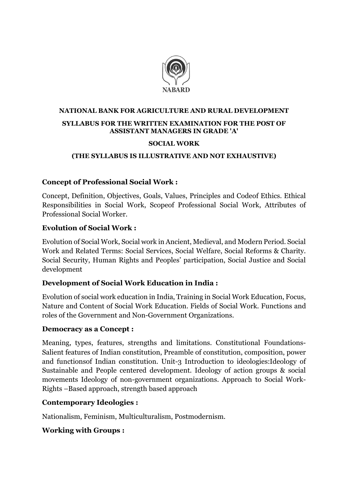

# NATIONAL BANK FOR AGRICULTURE AND RURAL DEVELOPMENT SYLLABUS FOR THE WRITTEN EXAMINATION FOR THE POST OF ASSISTANT MANAGERS IN GRADE 'A'

#### SOCIAL WORK

#### (THE SYLLABUS IS ILLUSTRATIVE AND NOT EXHAUSTIVE)

### Concept of Professional Social Work :

Concept, Definition, Objectives, Goals, Values, Principles and Codeof Ethics. Ethical Responsibilities in Social Work, Scopeof Professional Social Work, Attributes of Professional Social Worker.

### Evolution of Social Work :

Evolution of Social Work, Social work in Ancient, Medieval, and Modern Period. Social Work and Related Terms: Social Services, Social Welfare, Social Reforms & Charity. Social Security, Human Rights and Peoples' participation, Social Justice and Social development

### Development of Social Work Education in India :

Evolution of social work education in India, Training in Social Work Education, Focus, Nature and Content of Social Work Education. Fields of Social Work. Functions and roles of the Government and Non-Government Organizations.

### Democracy as a Concept :

Meaning, types, features, strengths and limitations. Constitutional Foundations-Salient features of Indian constitution, Preamble of constitution, composition, power and functionsof Indian constitution. Unit-3 Introduction to ideologies:Ideology of Sustainable and People centered development. Ideology of action groups & social movements Ideology of non-government organizations. Approach to Social Work-Rights –Based approach, strength based approach

### Contemporary Ideologies :

Nationalism, Feminism, Multiculturalism, Postmodernism.

### Working with Groups :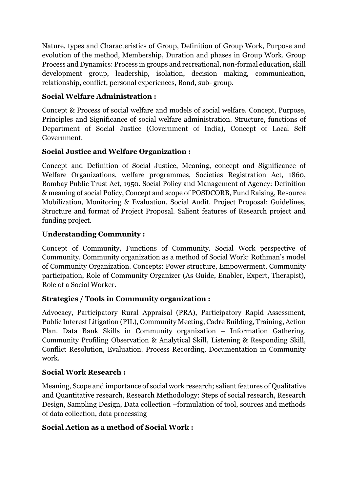Nature, types and Characteristics of Group, Definition of Group Work, Purpose and evolution of the method, Membership, Duration and phases in Group Work. Group Process and Dynamics: Process in groups and recreational, non-formal education, skill development group, leadership, isolation, decision making, communication, relationship, conflict, personal experiences, Bond, sub- group.

# Social Welfare Administration :

Concept & Process of social welfare and models of social welfare. Concept, Purpose, Principles and Significance of social welfare administration. Structure, functions of Department of Social Justice (Government of India), Concept of Local Self Government.

## Social Justice and Welfare Organization :

Concept and Definition of Social Justice, Meaning, concept and Significance of Welfare Organizations, welfare programmes, Societies Registration Act, 1860, Bombay Public Trust Act, 1950. Social Policy and Management of Agency: Definition & meaning of social Policy, Concept and scope of POSDCORB, Fund Raising, Resource Mobilization, Monitoring & Evaluation, Social Audit. Project Proposal: Guidelines, Structure and format of Project Proposal. Salient features of Research project and funding project.

## Understanding Community :

Concept of Community, Functions of Community. Social Work perspective of Community. Community organization as a method of Social Work: Rothman's model of Community Organization. Concepts: Power structure, Empowerment, Community participation, Role of Community Organizer (As Guide, Enabler, Expert, Therapist), Role of a Social Worker.

# Strategies / Tools in Community organization :

Advocacy, Participatory Rural Appraisal (PRA), Participatory Rapid Assessment, Public Interest Litigation (PIL), Community Meeting, Cadre Building, Training, Action Plan. Data Bank Skills in Community organization – Information Gathering. Community Profiling Observation & Analytical Skill, Listening & Responding Skill, Conflict Resolution, Evaluation. Process Recording, Documentation in Community work.

## Social Work Research :

Meaning, Scope and importance of social work research; salient features of Qualitative and Quantitative research, Research Methodology: Steps of social research, Research Design, Sampling Design, Data collection –formulation of tool, sources and methods of data collection, data processing

## Social Action as a method of Social Work :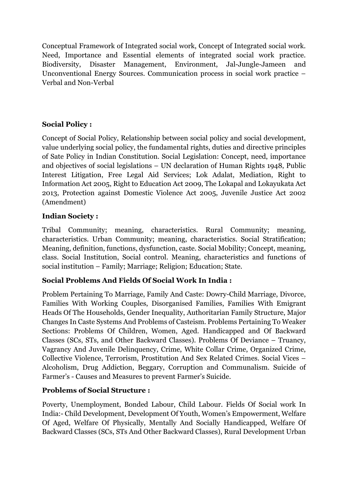Conceptual Framework of Integrated social work, Concept of Integrated social work. Need, Importance and Essential elements of integrated social work practice. Biodiversity, Disaster Management, Environment, Jal-Jungle-Jameen and Unconventional Energy Sources. Communication process in social work practice – Verbal and Non-Verbal

# Social Policy :

Concept of Social Policy, Relationship between social policy and social development, value underlying social policy, the fundamental rights, duties and directive principles of Sate Policy in Indian Constitution. Social Legislation: Concept, need, importance and objectives of social legislations – UN declaration of Human Rights 1948, Public Interest Litigation, Free Legal Aid Services; Lok Adalat, Mediation, Right to Information Act 2005, Right to Education Act 2009, The Lokapal and Lokayukata Act 2013, Protection against Domestic Violence Act 2005, Juvenile Justice Act 2002 (Amendment)

## Indian Society :

Tribal Community; meaning, characteristics. Rural Community; meaning, characteristics. Urban Community; meaning, characteristics. Social Stratification; Meaning, definition, functions, dysfunction, caste. Social Mobility; Concept, meaning, class. Social Institution, Social control. Meaning, characteristics and functions of social institution – Family; Marriage; Religion; Education; State.

## Social Problems And Fields Of Social Work In India :

Problem Pertaining To Marriage, Family And Caste: Dowry-Child Marriage, Divorce, Families With Working Couples, Disorganised Families, Families With Emigrant Heads Of The Households, Gender Inequality, Authoritarian Family Structure, Major Changes In Caste Systems And Problems of Casteism. Problems Pertaining To Weaker Sections: Problems Of Children, Women, Aged. Handicapped and Of Backward Classes (SCs, STs, and Other Backward Classes). Problems Of Deviance – Truancy, Vagrancy And Juvenile Delinquency, Crime, White Collar Crime, Organized Crime, Collective Violence, Terrorism, Prostitution And Sex Related Crimes. Social Vices – Alcoholism, Drug Addiction, Beggary, Corruption and Communalism. Suicide of Farmer's - Causes and Measures to prevent Farmer's Suicide.

# Problems of Social Structure :

Poverty, Unemployment, Bonded Labour, Child Labour. Fields Of Social work In India:- Child Development, Development Of Youth, Women's Empowerment, Welfare Of Aged, Welfare Of Physically, Mentally And Socially Handicapped, Welfare Of Backward Classes (SCs, STs And Other Backward Classes), Rural Development Urban